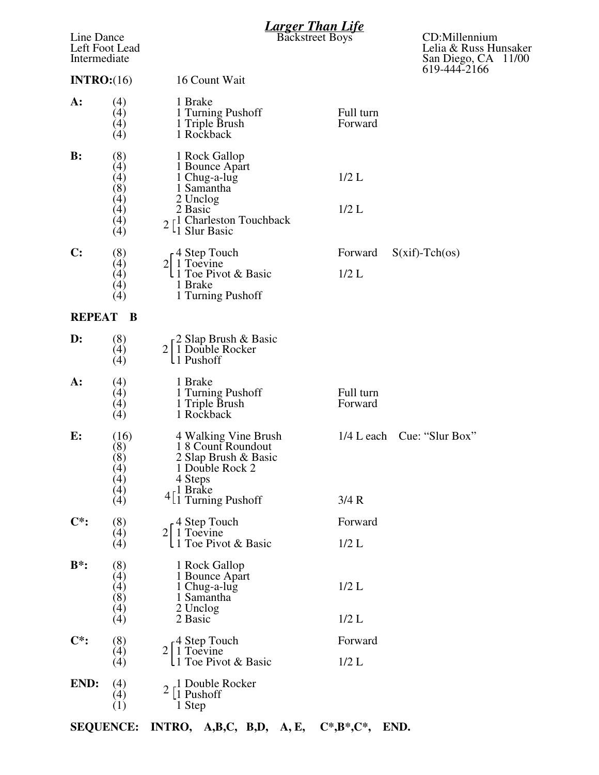| Line Dance<br>Left Foot Lead<br>Intermediate<br>INTRO: (16) |                                         | <b>Larger Than Life</b><br>Backstreet Boys                                                                 |                      | CD:Millennium<br>Lelia & Russ Hunsaker<br>San Diego, CA 11/00<br>619-444-2166 |
|-------------------------------------------------------------|-----------------------------------------|------------------------------------------------------------------------------------------------------------|----------------------|-------------------------------------------------------------------------------|
|                                                             |                                         | 16 Count Wait                                                                                              |                      |                                                                               |
| $A$ :                                                       | (4)<br>(4)<br>$\left( 4\right)$<br>(4)  | 1 Brake<br>1 Turning Pushoff<br>1 Triple Brush<br>1 Rockback                                               | Full turn<br>Forward |                                                                               |
| $\mathbf{B}$ :                                              | (8)<br>(4)<br>(4)<br>(8)                | 1 Rock Gallop<br>1 Bounce Apart<br>1 Chug-a-lug<br>1 Samantha                                              | $1/2$ L              |                                                                               |
|                                                             | (4)<br>(4)<br>(4)<br>(4)                | 2 Unclog<br>2 Basic<br>$2\left[ \frac{1}{1}$ Charleston Touchback<br><sup>1</sup> 1 Slur Basic             | $1/2$ L              |                                                                               |
| $\mathbf{C}$ :                                              | (8)                                     | $\frac{1}{4}$ Step Touch                                                                                   | Forward              | $S(xif)-Tch(\infty)$                                                          |
|                                                             | $\left( 4\right)$<br>(4)<br>(4)<br>(4)  | 2 1 Toevine<br>L1 Toe Pivot & Basic<br>1 Brake<br>1 Turning Pushoff                                        | $1/2$ L              |                                                                               |
| <b>REPEAT</b>                                               | B                                       |                                                                                                            |                      |                                                                               |
| D:                                                          | (8)<br>(4)<br>(4)                       | -2 Slap Brush & Basic<br>2 1 Double Rocker<br>L1 Pushoff                                                   |                      |                                                                               |
| $A$ :                                                       | (4)<br>(4)<br>(4)<br>(4)                | 1 Brake<br>1 Turning Pushoff<br>1 Triple Brush<br>1 Rockback                                               | Full turn<br>Forward |                                                                               |
| E:                                                          | (16)<br>(8)<br>(8)<br>(4)<br>(4)<br>(4) | 4 Walking Vine Brush<br>18 Count Roundout<br>2 Slap Brush & Basic<br>1 Double Rock 2<br>4 Steps<br>1 Brake |                      | 1/4 L each Cue: "Slur Box"                                                    |
|                                                             | (4)                                     | $4\begin{bmatrix} 1 \\ 1 \end{bmatrix}$ Turning Pushoff                                                    | 3/4 R                |                                                                               |
| $\mathbf{C}^*$ :                                            | (8)<br>(4)                              | 4 Step Touch<br>1 Toevine<br>$\overline{2}$                                                                | Forward              |                                                                               |
|                                                             | (4)                                     | 1 Toe Pivot & Basic                                                                                        | $1/2$ L              |                                                                               |
| $B^*$ :                                                     | (8)<br>(4)<br>(4)<br>(8)<br>(4)         | 1 Rock Gallop<br>1 Bounce Apart<br>1 Chug-a-lug<br>1 Samantha<br>2 Unclog                                  | $1/2$ L              |                                                                               |
|                                                             | $\lambda(4)$                            | 2 Basic                                                                                                    | $1/2$ L              |                                                                               |
| $\mathbf{C}^*$ :                                            | (8)<br>(4)<br>(4)                       | 4 Step Touch<br>$2 1$ Toevine<br>1 Toe Pivot & Basic                                                       | Forward<br>$1/2$ L   |                                                                               |
| END:                                                        | (4)<br>(4)<br>$\left( 1\right)$         | 1 Double Rocker<br>1 Pushoff<br>1 Step                                                                     |                      |                                                                               |

**SEQUENCE: INTRO, A,B,C, B,D, A, E, C\*,B\*,C\*, END.**